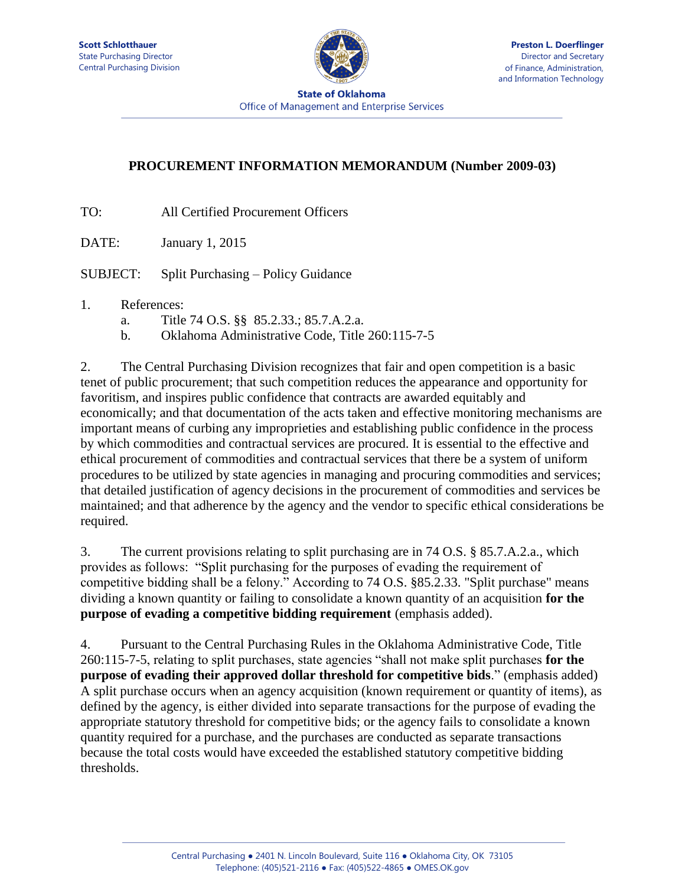

**State of Oklahoma Office of Management and Enterprise Services** 

## **PROCUREMENT INFORMATION MEMORANDUM (Number 2009-03)**

TO: All Certified Procurement Officers

DATE: January 1, 2015

SUBJECT: Split Purchasing – Policy Guidance

## 1. References:

- a. Title 74 O.S. §§ 85.2.33.; 85.7.A.2.a.
- b. Oklahoma Administrative Code, Title 260:115-7-5

2. The Central Purchasing Division recognizes that fair and open competition is a basic tenet of public procurement; that such competition reduces the appearance and opportunity for favoritism, and inspires public confidence that contracts are awarded equitably and economically; and that documentation of the acts taken and effective monitoring mechanisms are important means of curbing any improprieties and establishing public confidence in the process by which commodities and contractual services are procured. It is essential to the effective and ethical procurement of commodities and contractual services that there be a system of uniform procedures to be utilized by state agencies in managing and procuring commodities and services; that detailed justification of agency decisions in the procurement of commodities and services be maintained; and that adherence by the agency and the vendor to specific ethical considerations be required.

3. The current provisions relating to split purchasing are in 74 O.S. § 85.7.A.2.a., which provides as follows: "Split purchasing for the purposes of evading the requirement of competitive bidding shall be a felony." According to 74 O.S. §85.2.33. "Split purchase" means dividing a known quantity or failing to consolidate a known quantity of an acquisition **for the purpose of evading a competitive bidding requirement** (emphasis added).

4. Pursuant to the Central Purchasing Rules in the Oklahoma Administrative Code, Title 260:115-7-5, relating to split purchases, state agencies "shall not make split purchases **for the purpose of evading their approved dollar threshold for competitive bids**." (emphasis added) A split purchase occurs when an agency acquisition (known requirement or quantity of items), as defined by the agency, is either divided into separate transactions for the purpose of evading the appropriate statutory threshold for competitive bids; or the agency fails to consolidate a known quantity required for a purchase, and the purchases are conducted as separate transactions because the total costs would have exceeded the established statutory competitive bidding thresholds.